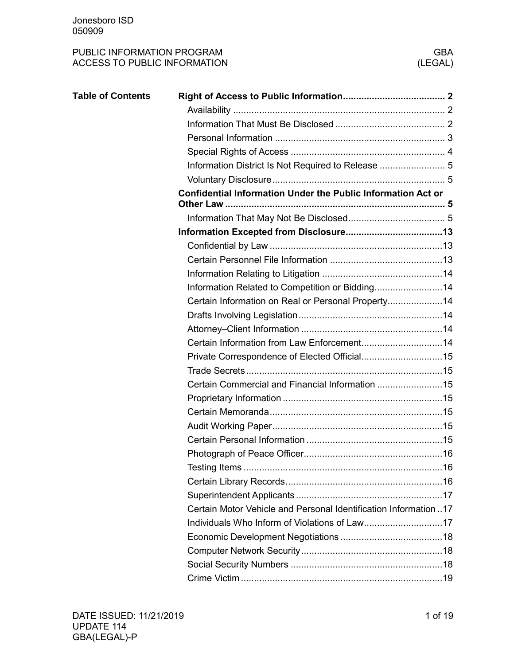| <b>Table of Contents</b> |                                                                     |
|--------------------------|---------------------------------------------------------------------|
|                          |                                                                     |
|                          |                                                                     |
|                          |                                                                     |
|                          |                                                                     |
|                          | Information District Is Not Required to Release  5                  |
|                          |                                                                     |
|                          | <b>Confidential Information Under the Public Information Act or</b> |
|                          |                                                                     |
|                          |                                                                     |
|                          |                                                                     |
|                          |                                                                     |
|                          |                                                                     |
|                          |                                                                     |
|                          | Information Related to Competition or Bidding14                     |
|                          | Certain Information on Real or Personal Property14                  |
|                          |                                                                     |
|                          |                                                                     |
|                          |                                                                     |
|                          |                                                                     |
|                          |                                                                     |
|                          | Certain Commercial and Financial Information 15                     |
|                          |                                                                     |
|                          |                                                                     |
|                          |                                                                     |
|                          |                                                                     |
|                          |                                                                     |
|                          |                                                                     |
|                          |                                                                     |
|                          |                                                                     |
|                          | Certain Motor Vehicle and Personal Identification Information 17    |
|                          |                                                                     |
|                          |                                                                     |
|                          |                                                                     |
|                          |                                                                     |
|                          |                                                                     |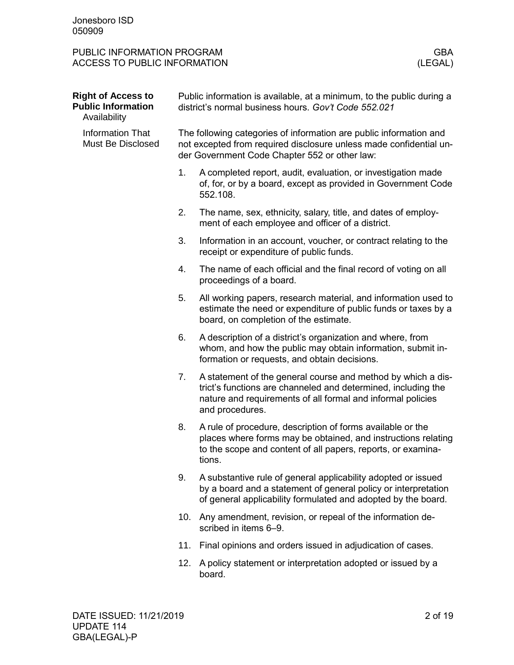<span id="page-1-2"></span><span id="page-1-1"></span><span id="page-1-0"></span>

| <b>Right of Access to</b><br><b>Public Information</b><br>Availability | Public information is available, at a minimum, to the public during a<br>district's normal business hours. Gov't Code 552.021                                                             |                                                                                                                                                                                                                 |  |
|------------------------------------------------------------------------|-------------------------------------------------------------------------------------------------------------------------------------------------------------------------------------------|-----------------------------------------------------------------------------------------------------------------------------------------------------------------------------------------------------------------|--|
| <b>Information That</b><br>Must Be Disclosed                           | The following categories of information are public information and<br>not excepted from required disclosure unless made confidential un-<br>der Government Code Chapter 552 or other law: |                                                                                                                                                                                                                 |  |
|                                                                        | 1.                                                                                                                                                                                        | A completed report, audit, evaluation, or investigation made<br>of, for, or by a board, except as provided in Government Code<br>552.108.                                                                       |  |
|                                                                        | 2.                                                                                                                                                                                        | The name, sex, ethnicity, salary, title, and dates of employ-<br>ment of each employee and officer of a district.                                                                                               |  |
|                                                                        | 3.                                                                                                                                                                                        | Information in an account, voucher, or contract relating to the<br>receipt or expenditure of public funds.                                                                                                      |  |
|                                                                        | 4.                                                                                                                                                                                        | The name of each official and the final record of voting on all<br>proceedings of a board.                                                                                                                      |  |
|                                                                        | 5.                                                                                                                                                                                        | All working papers, research material, and information used to<br>estimate the need or expenditure of public funds or taxes by a<br>board, on completion of the estimate.                                       |  |
|                                                                        | 6.                                                                                                                                                                                        | A description of a district's organization and where, from<br>whom, and how the public may obtain information, submit in-<br>formation or requests, and obtain decisions.                                       |  |
|                                                                        | 7.                                                                                                                                                                                        | A statement of the general course and method by which a dis-<br>trict's functions are channeled and determined, including the<br>nature and requirements of all formal and informal policies<br>and procedures. |  |
|                                                                        | 8.                                                                                                                                                                                        | A rule of procedure, description of forms available or the<br>places where forms may be obtained, and instructions relating<br>to the scope and content of all papers, reports, or examina-<br>tions.           |  |
|                                                                        | 9.                                                                                                                                                                                        | A substantive rule of general applicability adopted or issued<br>by a board and a statement of general policy or interpretation<br>of general applicability formulated and adopted by the board.                |  |
|                                                                        | 10.                                                                                                                                                                                       | Any amendment, revision, or repeal of the information de-<br>scribed in items 6-9.                                                                                                                              |  |
|                                                                        | 11.                                                                                                                                                                                       | Final opinions and orders issued in adjudication of cases.                                                                                                                                                      |  |
|                                                                        | 12.                                                                                                                                                                                       | A policy statement or interpretation adopted or issued by a<br>board.                                                                                                                                           |  |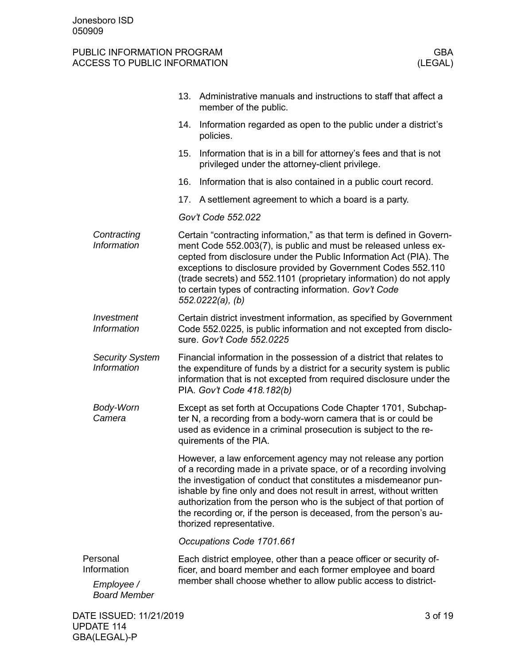<span id="page-2-0"></span>

|                                                              | Administrative manuals and instructions to staff that affect a<br>13.<br>member of the public.                                                                                                                                                                                                                                                                                                                                                           |  |
|--------------------------------------------------------------|----------------------------------------------------------------------------------------------------------------------------------------------------------------------------------------------------------------------------------------------------------------------------------------------------------------------------------------------------------------------------------------------------------------------------------------------------------|--|
|                                                              | Information regarded as open to the public under a district's<br>14.<br>policies.                                                                                                                                                                                                                                                                                                                                                                        |  |
|                                                              | Information that is in a bill for attorney's fees and that is not<br>15.<br>privileged under the attorney-client privilege.                                                                                                                                                                                                                                                                                                                              |  |
|                                                              | 16.<br>Information that is also contained in a public court record.                                                                                                                                                                                                                                                                                                                                                                                      |  |
|                                                              | 17.<br>A settlement agreement to which a board is a party.                                                                                                                                                                                                                                                                                                                                                                                               |  |
|                                                              | Gov't Code 552.022                                                                                                                                                                                                                                                                                                                                                                                                                                       |  |
| Contracting<br><b>Information</b>                            | Certain "contracting information," as that term is defined in Govern-<br>ment Code 552.003(7), is public and must be released unless ex-<br>cepted from disclosure under the Public Information Act (PIA). The<br>exceptions to disclosure provided by Government Codes 552.110<br>(trade secrets) and 552.1101 (proprietary information) do not apply<br>to certain types of contracting information. Gov't Code<br>552.0222(a), (b)                    |  |
| Investment<br>Information                                    | Certain district investment information, as specified by Government<br>Code 552.0225, is public information and not excepted from disclo-<br>sure. Gov't Code 552.0225                                                                                                                                                                                                                                                                                   |  |
| <b>Security System</b><br>Information                        | Financial information in the possession of a district that relates to<br>the expenditure of funds by a district for a security system is public<br>information that is not excepted from required disclosure under the<br>PIA. Gov't Code 418.182(b)                                                                                                                                                                                                     |  |
| <b>Body-Worn</b><br>Camera                                   | Except as set forth at Occupations Code Chapter 1701, Subchap-<br>ter N, a recording from a body-worn camera that is or could be<br>used as evidence in a criminal prosecution is subject to the re-<br>quirements of the PIA.                                                                                                                                                                                                                           |  |
|                                                              | However, a law enforcement agency may not release any portion<br>of a recording made in a private space, or of a recording involving<br>the investigation of conduct that constitutes a misdemeanor pun-<br>ishable by fine only and does not result in arrest, without written<br>authorization from the person who is the subject of that portion of<br>the recording or, if the person is deceased, from the person's au-<br>thorized representative. |  |
|                                                              | Occupations Code 1701.661                                                                                                                                                                                                                                                                                                                                                                                                                                |  |
| Personal<br>Information<br>Employee /<br><b>Board Member</b> | Each district employee, other than a peace officer or security of-<br>ficer, and board member and each former employee and board<br>member shall choose whether to allow public access to district-                                                                                                                                                                                                                                                      |  |
| DATE ISSUED: 11/21/2019                                      | 3 of 19                                                                                                                                                                                                                                                                                                                                                                                                                                                  |  |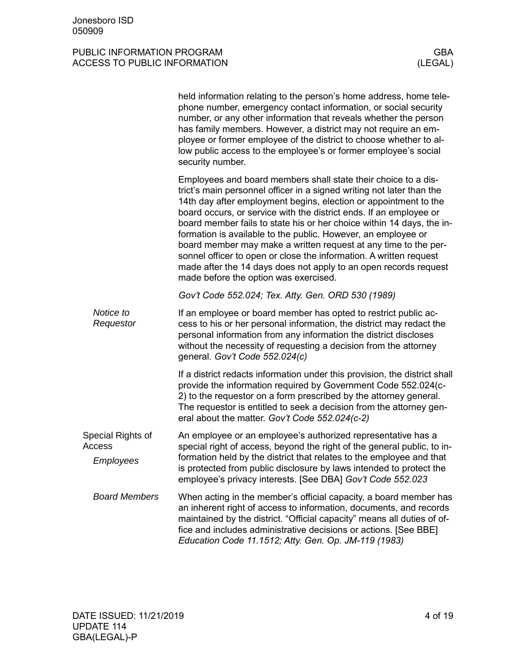<span id="page-3-0"></span>

|                        | held information relating to the person's home address, home tele-<br>phone number, emergency contact information, or social security<br>number, or any other information that reveals whether the person<br>has family members. However, a district may not require an em-<br>ployee or former employee of the district to choose whether to al-<br>low public access to the employee's or former employee's social<br>security number.                                                                                                                                                                                                                                          |
|------------------------|-----------------------------------------------------------------------------------------------------------------------------------------------------------------------------------------------------------------------------------------------------------------------------------------------------------------------------------------------------------------------------------------------------------------------------------------------------------------------------------------------------------------------------------------------------------------------------------------------------------------------------------------------------------------------------------|
|                        | Employees and board members shall state their choice to a dis-<br>trict's main personnel officer in a signed writing not later than the<br>14th day after employment begins, election or appointment to the<br>board occurs, or service with the district ends. If an employee or<br>board member fails to state his or her choice within 14 days, the in-<br>formation is available to the public. However, an employee or<br>board member may make a written request at any time to the per-<br>sonnel officer to open or close the information. A written request<br>made after the 14 days does not apply to an open records request<br>made before the option was exercised. |
|                        | Gov't Code 552.024; Tex. Atty. Gen. ORD 530 (1989)                                                                                                                                                                                                                                                                                                                                                                                                                                                                                                                                                                                                                                |
| Notice to<br>Requestor | If an employee or board member has opted to restrict public ac-<br>cess to his or her personal information, the district may redact the<br>personal information from any information the district discloses<br>without the necessity of requesting a decision from the attorney<br>general. Gov't Code 552.024(c)                                                                                                                                                                                                                                                                                                                                                                 |
|                        | If a district redacts information under this provision, the district shall<br>provide the information required by Government Code 552.024(c-<br>2) to the requestor on a form prescribed by the attorney general.<br>The requestor is entitled to seek a decision from the attorney gen-<br>eral about the matter. Gov't Code 552.024(c-2)                                                                                                                                                                                                                                                                                                                                        |
| Special Rights of      | An employee or an employee's authorized representative has a                                                                                                                                                                                                                                                                                                                                                                                                                                                                                                                                                                                                                      |
| Access                 | special right of access, beyond the right of the general public, to in-<br>formation held by the district that relates to the employee and that                                                                                                                                                                                                                                                                                                                                                                                                                                                                                                                                   |
| Employees              | is protected from public disclosure by laws intended to protect the<br>employee's privacy interests. [See DBA] Gov't Code 552.023                                                                                                                                                                                                                                                                                                                                                                                                                                                                                                                                                 |
| <b>Board Members</b>   | When acting in the member's official capacity, a board member has<br>an inherent right of access to information, documents, and records<br>maintained by the district. "Official capacity" means all duties of of-<br>fice and includes administrative decisions or actions. [See BBE]<br>Education Code 11.1512; Atty. Gen. Op. JM-119 (1983)                                                                                                                                                                                                                                                                                                                                    |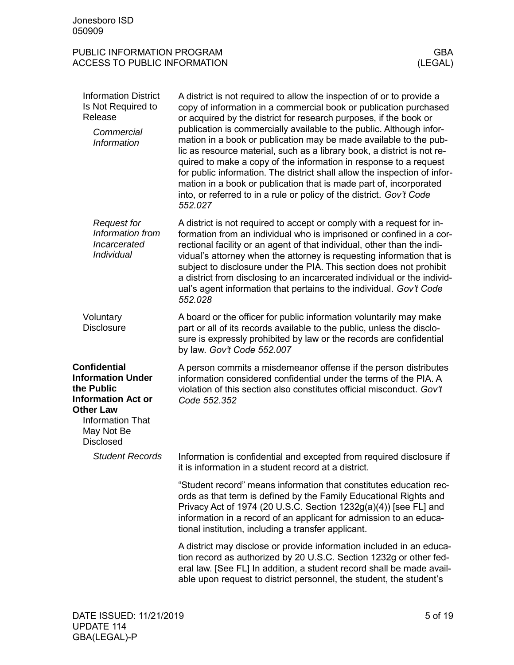| PUBLIC INFORMATION PROGRAM   | GBA     |
|------------------------------|---------|
| ACCESS TO PUBLIC INFORMATION | (LEGAL) |

<span id="page-4-3"></span><span id="page-4-2"></span><span id="page-4-1"></span><span id="page-4-0"></span>

| <b>Information District</b><br>Is Not Required to<br>Release<br>Commercial<br><b>Information</b>                                                                            | A district is not required to allow the inspection of or to provide a<br>copy of information in a commercial book or publication purchased<br>or acquired by the district for research purposes, if the book or<br>publication is commercially available to the public. Although infor-<br>mation in a book or publication may be made available to the pub-<br>lic as resource material, such as a library book, a district is not re-<br>quired to make a copy of the information in response to a request<br>for public information. The district shall allow the inspection of infor-<br>mation in a book or publication that is made part of, incorporated<br>into, or referred to in a rule or policy of the district. Gov't Code<br>552.027 |
|-----------------------------------------------------------------------------------------------------------------------------------------------------------------------------|----------------------------------------------------------------------------------------------------------------------------------------------------------------------------------------------------------------------------------------------------------------------------------------------------------------------------------------------------------------------------------------------------------------------------------------------------------------------------------------------------------------------------------------------------------------------------------------------------------------------------------------------------------------------------------------------------------------------------------------------------|
| <b>Request for</b><br>Information from<br>Incarcerated<br>Individual                                                                                                        | A district is not required to accept or comply with a request for in-<br>formation from an individual who is imprisoned or confined in a cor-<br>rectional facility or an agent of that individual, other than the indi-<br>vidual's attorney when the attorney is requesting information that is<br>subject to disclosure under the PIA. This section does not prohibit<br>a district from disclosing to an incarcerated individual or the individ-<br>ual's agent information that pertains to the individual. Gov't Code<br>552.028                                                                                                                                                                                                             |
| Voluntary<br><b>Disclosure</b>                                                                                                                                              | A board or the officer for public information voluntarily may make<br>part or all of its records available to the public, unless the disclo-<br>sure is expressly prohibited by law or the records are confidential<br>by law. Gov't Code 552.007                                                                                                                                                                                                                                                                                                                                                                                                                                                                                                  |
| <b>Confidential</b><br><b>Information Under</b><br>the Public<br><b>Information Act or</b><br><b>Other Law</b><br><b>Information That</b><br>May Not Be<br><b>Disclosed</b> | A person commits a misdemeanor offense if the person distributes<br>information considered confidential under the terms of the PIA. A<br>violation of this section also constitutes official misconduct. Gov't<br>Code 552.352                                                                                                                                                                                                                                                                                                                                                                                                                                                                                                                     |
| <b>Student Records</b>                                                                                                                                                      | Information is confidential and excepted from required disclosure if<br>it is information in a student record at a district.                                                                                                                                                                                                                                                                                                                                                                                                                                                                                                                                                                                                                       |
|                                                                                                                                                                             | "Student record" means information that constitutes education rec-<br>ords as that term is defined by the Family Educational Rights and<br>Privacy Act of 1974 (20 U.S.C. Section 1232g(a)(4)) [see FL] and<br>information in a record of an applicant for admission to an educa-<br>tional institution, including a transfer applicant.                                                                                                                                                                                                                                                                                                                                                                                                           |
|                                                                                                                                                                             | A district may disclose or provide information included in an educa-<br>tion record as authorized by 20 U.S.C. Section 1232g or other fed-<br>eral law. [See FL] In addition, a student record shall be made avail-<br>able upon request to district personnel, the student, the student's                                                                                                                                                                                                                                                                                                                                                                                                                                                         |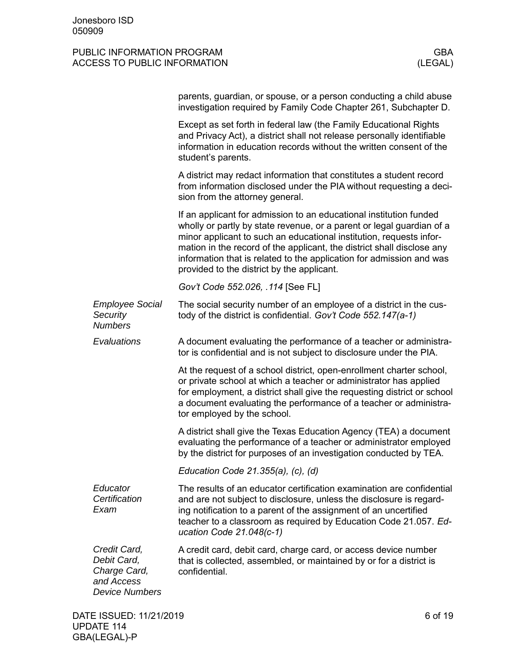|                                                                                    | parents, guardian, or spouse, or a person conducting a child abuse<br>investigation required by Family Code Chapter 261, Subchapter D.                                                                                                                                                                                                                                                                             |         |
|------------------------------------------------------------------------------------|--------------------------------------------------------------------------------------------------------------------------------------------------------------------------------------------------------------------------------------------------------------------------------------------------------------------------------------------------------------------------------------------------------------------|---------|
|                                                                                    | Except as set forth in federal law (the Family Educational Rights<br>and Privacy Act), a district shall not release personally identifiable<br>information in education records without the written consent of the<br>student's parents.                                                                                                                                                                           |         |
|                                                                                    | A district may redact information that constitutes a student record<br>from information disclosed under the PIA without requesting a deci-<br>sion from the attorney general.                                                                                                                                                                                                                                      |         |
|                                                                                    | If an applicant for admission to an educational institution funded<br>wholly or partly by state revenue, or a parent or legal guardian of a<br>minor applicant to such an educational institution, requests infor-<br>mation in the record of the applicant, the district shall disclose any<br>information that is related to the application for admission and was<br>provided to the district by the applicant. |         |
|                                                                                    | Gov't Code 552.026, .114 [See FL]                                                                                                                                                                                                                                                                                                                                                                                  |         |
| <b>Employee Social</b><br>Security<br><b>Numbers</b>                               | The social security number of an employee of a district in the cus-<br>tody of the district is confidential. Gov't Code 552.147(a-1)                                                                                                                                                                                                                                                                               |         |
| Evaluations                                                                        | A document evaluating the performance of a teacher or administra-<br>tor is confidential and is not subject to disclosure under the PIA.                                                                                                                                                                                                                                                                           |         |
|                                                                                    | At the request of a school district, open-enrollment charter school,<br>or private school at which a teacher or administrator has applied<br>for employment, a district shall give the requesting district or school<br>a document evaluating the performance of a teacher or administra-<br>tor employed by the school.                                                                                           |         |
|                                                                                    | A district shall give the Texas Education Agency (TEA) a document<br>evaluating the performance of a teacher or administrator employed<br>by the district for purposes of an investigation conducted by TEA.                                                                                                                                                                                                       |         |
|                                                                                    | Education Code $21.355(a)$ , (c), (d)                                                                                                                                                                                                                                                                                                                                                                              |         |
| Educator<br>Certification<br>Exam                                                  | The results of an educator certification examination are confidential<br>and are not subject to disclosure, unless the disclosure is regard-<br>ing notification to a parent of the assignment of an uncertified<br>teacher to a classroom as required by Education Code 21.057. Ed-<br>ucation Code 21.048(c-1)                                                                                                   |         |
| Credit Card,<br>Debit Card,<br>Charge Card,<br>and Access<br><b>Device Numbers</b> | A credit card, debit card, charge card, or access device number<br>that is collected, assembled, or maintained by or for a district is<br>confidential.                                                                                                                                                                                                                                                            |         |
| DATE ISSUED: 11/21/2019                                                            |                                                                                                                                                                                                                                                                                                                                                                                                                    | 6 of 19 |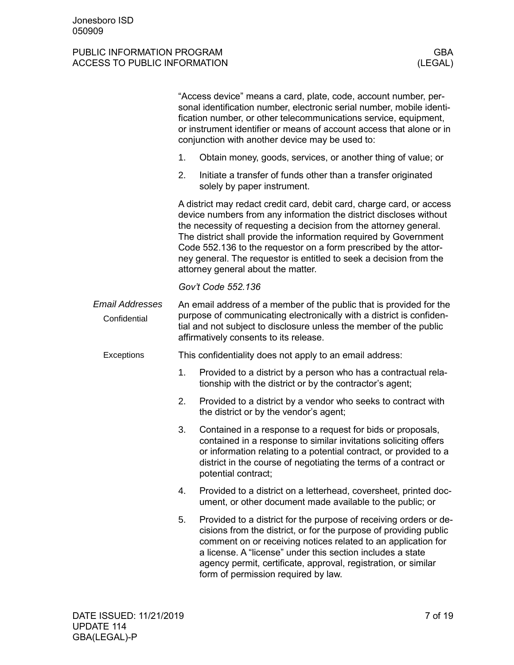|                                        |    | "Access device" means a card, plate, code, account number, per-<br>sonal identification number, electronic serial number, mobile identi-<br>fication number, or other telecommunications service, equipment,<br>or instrument identifier or means of account access that alone or in<br>conjunction with another device may be used to:                                                                                                                               |
|----------------------------------------|----|-----------------------------------------------------------------------------------------------------------------------------------------------------------------------------------------------------------------------------------------------------------------------------------------------------------------------------------------------------------------------------------------------------------------------------------------------------------------------|
|                                        | 1. | Obtain money, goods, services, or another thing of value; or                                                                                                                                                                                                                                                                                                                                                                                                          |
|                                        | 2. | Initiate a transfer of funds other than a transfer originated<br>solely by paper instrument.                                                                                                                                                                                                                                                                                                                                                                          |
|                                        |    | A district may redact credit card, debit card, charge card, or access<br>device numbers from any information the district discloses without<br>the necessity of requesting a decision from the attorney general.<br>The district shall provide the information required by Government<br>Code 552.136 to the requestor on a form prescribed by the attor-<br>ney general. The requestor is entitled to seek a decision from the<br>attorney general about the matter. |
|                                        |    | Gov't Code 552.136                                                                                                                                                                                                                                                                                                                                                                                                                                                    |
| <b>Email Addresses</b><br>Confidential |    | An email address of a member of the public that is provided for the<br>purpose of communicating electronically with a district is confiden-<br>tial and not subject to disclosure unless the member of the public<br>affirmatively consents to its release.                                                                                                                                                                                                           |
| Exceptions                             |    | This confidentiality does not apply to an email address:                                                                                                                                                                                                                                                                                                                                                                                                              |
|                                        | 1. | Provided to a district by a person who has a contractual rela-<br>tionship with the district or by the contractor's agent;                                                                                                                                                                                                                                                                                                                                            |
|                                        | 2. | Provided to a district by a vendor who seeks to contract with<br>the district or by the vendor's agent;                                                                                                                                                                                                                                                                                                                                                               |
|                                        | 3. | Contained in a response to a request for bids or proposals,<br>contained in a response to similar invitations soliciting offers<br>or information relating to a potential contract, or provided to a<br>district in the course of negotiating the terms of a contract or<br>potential contract;                                                                                                                                                                       |
|                                        | 4. | Provided to a district on a letterhead, coversheet, printed doc-<br>ument, or other document made available to the public; or                                                                                                                                                                                                                                                                                                                                         |
|                                        | 5. | Provided to a district for the purpose of receiving orders or de-<br>cisions from the district, or for the purpose of providing public<br>comment on or receiving notices related to an application for<br>a license. A "license" under this section includes a state<br>agency permit, certificate, approval, registration, or similar<br>form of permission required by law.                                                                                        |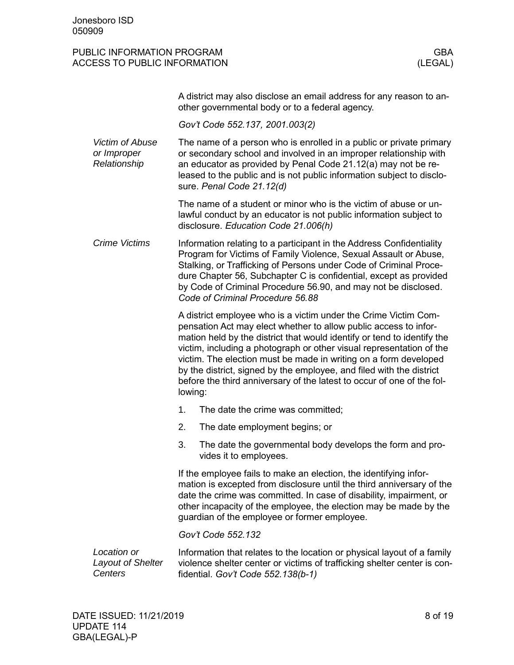#### PUBLIC INFORMATION PROGRAM GENERAL CONSTRUCTION OF SALE OF A SALE OF A SALE OF A SALE OF A SALE OF A SALE OF A ACCESS TO PUBLIC INFORMATION (LEGAL)

| A district may also disclose an email address for any reason to an- |
|---------------------------------------------------------------------|
| other governmental body or to a federal agency.                     |

*Gov't Code 552.137, 2001.003(2)*

The name of a person who is enrolled in a public or private primary or secondary school and involved in an improper relationship with an educator as provided by Penal Code 21.12(a) may not be released to the public and is not public information subject to disclosure. *Penal Code 21.12(d) Victim of Abuse or Improper Relationship*

> The name of a student or minor who is the victim of abuse or unlawful conduct by an educator is not public information subject to disclosure. *Education Code 21.006(h)*

Information relating to a participant in the Address Confidentiality Program for Victims of Family Violence, Sexual Assault or Abuse, Stalking, or Trafficking of Persons under Code of Criminal Procedure Chapter 56, Subchapter C is confidential, except as provided by Code of Criminal Procedure 56.90, and may not be disclosed. *Code of Criminal Procedure 56.88 Crime Victims*

> A district employee who is a victim under the Crime Victim Compensation Act may elect whether to allow public access to information held by the district that would identify or tend to identify the victim, including a photograph or other visual representation of the victim. The election must be made in writing on a form developed by the district, signed by the employee, and filed with the district before the third anniversary of the latest to occur of one of the following:

- 1. The date the crime was committed;
- 2. The date employment begins; or
- 3. The date the governmental body develops the form and provides it to employees.

If the employee fails to make an election, the identifying information is excepted from disclosure until the third anniversary of the date the crime was committed. In case of disability, impairment, or other incapacity of the employee, the election may be made by the guardian of the employee or former employee.

*Gov't Code 552.132*

| Location or       | Information that relates to the location or physical layout of a family  |
|-------------------|--------------------------------------------------------------------------|
| Layout of Shelter | violence shelter center or victims of trafficking shelter center is con- |
| <i>Centers</i>    | fidential. Gov't Code $552.138(b-1)$                                     |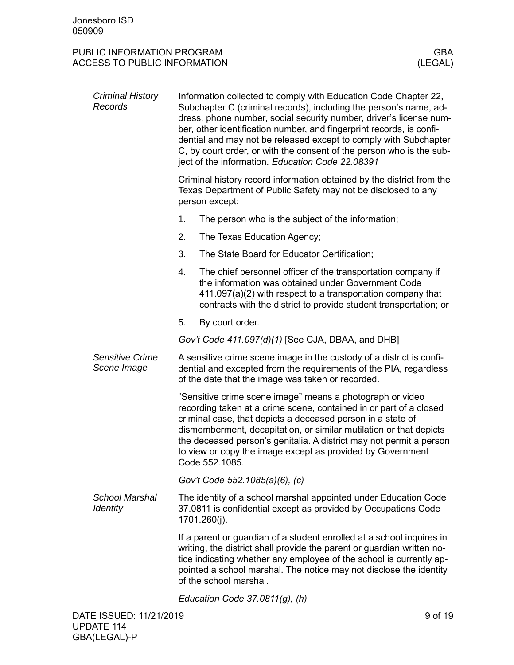| Criminal History<br>Records              | Information collected to comply with Education Code Chapter 22,<br>Subchapter C (criminal records), including the person's name, ad-<br>dress, phone number, social security number, driver's license num-<br>ber, other identification number, and fingerprint records, is confi-<br>dential and may not be released except to comply with Subchapter<br>C, by court order, or with the consent of the person who is the sub-<br>ject of the information. Education Code 22.08391 |                                                                                                                                                                                                                                                                                                                        |  |
|------------------------------------------|------------------------------------------------------------------------------------------------------------------------------------------------------------------------------------------------------------------------------------------------------------------------------------------------------------------------------------------------------------------------------------------------------------------------------------------------------------------------------------|------------------------------------------------------------------------------------------------------------------------------------------------------------------------------------------------------------------------------------------------------------------------------------------------------------------------|--|
|                                          |                                                                                                                                                                                                                                                                                                                                                                                                                                                                                    | Criminal history record information obtained by the district from the<br>Texas Department of Public Safety may not be disclosed to any<br>person except:                                                                                                                                                               |  |
|                                          | 1.                                                                                                                                                                                                                                                                                                                                                                                                                                                                                 | The person who is the subject of the information;                                                                                                                                                                                                                                                                      |  |
|                                          | 2.                                                                                                                                                                                                                                                                                                                                                                                                                                                                                 | The Texas Education Agency;                                                                                                                                                                                                                                                                                            |  |
|                                          | 3.                                                                                                                                                                                                                                                                                                                                                                                                                                                                                 | The State Board for Educator Certification;                                                                                                                                                                                                                                                                            |  |
|                                          | 4.                                                                                                                                                                                                                                                                                                                                                                                                                                                                                 | The chief personnel officer of the transportation company if<br>the information was obtained under Government Code<br>411.097(a)(2) with respect to a transportation company that<br>contracts with the district to provide student transportation; or                                                                 |  |
|                                          | 5.                                                                                                                                                                                                                                                                                                                                                                                                                                                                                 | By court order.                                                                                                                                                                                                                                                                                                        |  |
|                                          |                                                                                                                                                                                                                                                                                                                                                                                                                                                                                    | Gov't Code 411.097(d)(1) [See CJA, DBAA, and DHB]                                                                                                                                                                                                                                                                      |  |
| <b>Sensitive Crime</b><br>Scene Image    | A sensitive crime scene image in the custody of a district is confi-<br>dential and excepted from the requirements of the PIA, regardless<br>of the date that the image was taken or recorded.                                                                                                                                                                                                                                                                                     |                                                                                                                                                                                                                                                                                                                        |  |
|                                          | "Sensitive crime scene image" means a photograph or video<br>recording taken at a crime scene, contained in or part of a closed<br>criminal case, that depicts a deceased person in a state of<br>dismemberment, decapitation, or similar mutilation or that depicts<br>the deceased person's genitalia. A district may not permit a person<br>to view or copy the image except as provided by Government<br>Code 552.1085.                                                        |                                                                                                                                                                                                                                                                                                                        |  |
|                                          |                                                                                                                                                                                                                                                                                                                                                                                                                                                                                    | Gov't Code 552.1085(a)(6), (c)                                                                                                                                                                                                                                                                                         |  |
| <b>School Marshal</b><br><b>Identity</b> | The identity of a school marshal appointed under Education Code<br>37.0811 is confidential except as provided by Occupations Code<br>1701.260(j).                                                                                                                                                                                                                                                                                                                                  |                                                                                                                                                                                                                                                                                                                        |  |
|                                          |                                                                                                                                                                                                                                                                                                                                                                                                                                                                                    | If a parent or guardian of a student enrolled at a school inquires in<br>writing, the district shall provide the parent or guardian written no-<br>tice indicating whether any employee of the school is currently ap-<br>pointed a school marshal. The notice may not disclose the identity<br>of the school marshal. |  |
|                                          |                                                                                                                                                                                                                                                                                                                                                                                                                                                                                    | Education Code $37.0811(g)$ , (h)                                                                                                                                                                                                                                                                                      |  |
|                                          |                                                                                                                                                                                                                                                                                                                                                                                                                                                                                    |                                                                                                                                                                                                                                                                                                                        |  |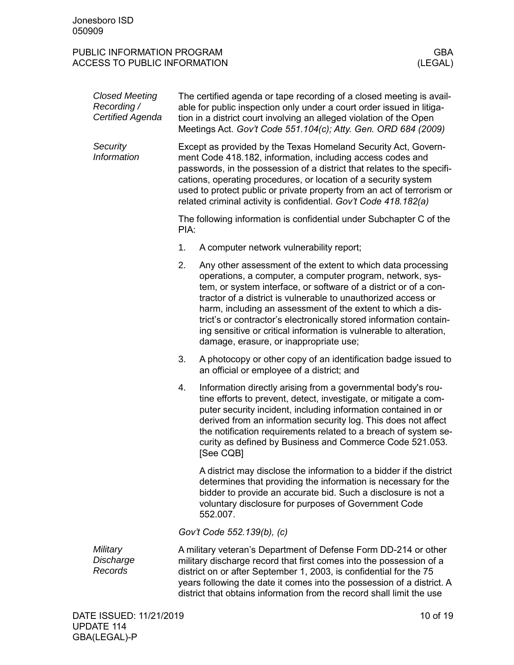| <b>Closed Meeting</b><br>Recording /<br>Certified Agenda | The certified agenda or tape recording of a closed meeting is avail-<br>able for public inspection only under a court order issued in litiga-<br>tion in a district court involving an alleged violation of the Open<br>Meetings Act. Gov't Code 551.104(c); Atty. Gen. ORD 684 (2009) |                                                                                                                                                                                                                                                                                                                                                                                                                                                                                                                    |  |
|----------------------------------------------------------|----------------------------------------------------------------------------------------------------------------------------------------------------------------------------------------------------------------------------------------------------------------------------------------|--------------------------------------------------------------------------------------------------------------------------------------------------------------------------------------------------------------------------------------------------------------------------------------------------------------------------------------------------------------------------------------------------------------------------------------------------------------------------------------------------------------------|--|
| Security<br>Information                                  |                                                                                                                                                                                                                                                                                        | Except as provided by the Texas Homeland Security Act, Govern-<br>ment Code 418.182, information, including access codes and<br>passwords, in the possession of a district that relates to the specifi-<br>cations, operating procedures, or location of a security system<br>used to protect public or private property from an act of terrorism or<br>related criminal activity is confidential. Gov't Code 418.182(a)                                                                                           |  |
|                                                          | PIA:                                                                                                                                                                                                                                                                                   | The following information is confidential under Subchapter C of the                                                                                                                                                                                                                                                                                                                                                                                                                                                |  |
|                                                          | 1.                                                                                                                                                                                                                                                                                     | A computer network vulnerability report;                                                                                                                                                                                                                                                                                                                                                                                                                                                                           |  |
|                                                          | 2.                                                                                                                                                                                                                                                                                     | Any other assessment of the extent to which data processing<br>operations, a computer, a computer program, network, sys-<br>tem, or system interface, or software of a district or of a con-<br>tractor of a district is vulnerable to unauthorized access or<br>harm, including an assessment of the extent to which a dis-<br>trict's or contractor's electronically stored information contain-<br>ing sensitive or critical information is vulnerable to alteration,<br>damage, erasure, or inappropriate use; |  |
|                                                          | 3.                                                                                                                                                                                                                                                                                     | A photocopy or other copy of an identification badge issued to<br>an official or employee of a district; and                                                                                                                                                                                                                                                                                                                                                                                                       |  |
|                                                          | 4.                                                                                                                                                                                                                                                                                     | Information directly arising from a governmental body's rou-<br>tine efforts to prevent, detect, investigate, or mitigate a com-<br>puter security incident, including information contained in or<br>derived from an information security log. This does not affect<br>the notification requirements related to a breach of system se-<br>curity as defined by Business and Commerce Code 521.053.<br>[See CQB]                                                                                                   |  |
|                                                          |                                                                                                                                                                                                                                                                                        | A district may disclose the information to a bidder if the district<br>determines that providing the information is necessary for the<br>bidder to provide an accurate bid. Such a disclosure is not a<br>voluntary disclosure for purposes of Government Code<br>552.007.                                                                                                                                                                                                                                         |  |
|                                                          |                                                                                                                                                                                                                                                                                        | Gov't Code 552.139(b), (c)                                                                                                                                                                                                                                                                                                                                                                                                                                                                                         |  |
| Military<br>Discharge<br>Records                         |                                                                                                                                                                                                                                                                                        | A military veteran's Department of Defense Form DD-214 or other<br>military discharge record that first comes into the possession of a<br>district on or after September 1, 2003, is confidential for the 75<br>years following the date it comes into the possession of a district. A                                                                                                                                                                                                                             |  |

district that obtains information from the record shall limit the use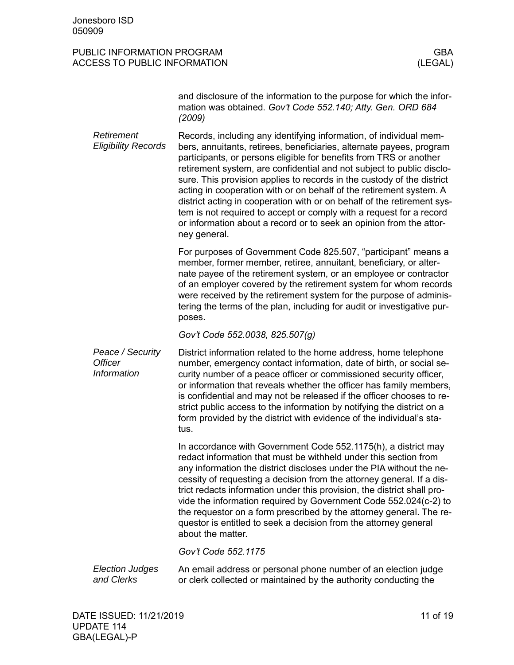#### PUBLIC INFORMATION PROGRAM GENERAL CONSTRUCTION OF SALE OF A SALE OF A SALE OF A SALE OF A SALE OF A SALE OF A ACCESS TO PUBLIC INFORMATION (LEGAL)

and disclosure of the information to the purpose for which the information was obtained. *Gov't Code 552.140; Atty. Gen. ORD 684 (2009)*

Records, including any identifying information, of individual members, annuitants, retirees, beneficiaries, alternate payees, program participants, or persons eligible for benefits from TRS or another retirement system, are confidential and not subject to public disclosure. This provision applies to records in the custody of the district acting in cooperation with or on behalf of the retirement system. A district acting in cooperation with or on behalf of the retirement system is not required to accept or comply with a request for a record or information about a record or to seek an opinion from the attorney general. *Retirement Eligibility Records*

> For purposes of Government Code 825.507, "participant" means a member, former member, retiree, annuitant, beneficiary, or alternate payee of the retirement system, or an employee or contractor of an employer covered by the retirement system for whom records were received by the retirement system for the purpose of administering the terms of the plan, including for audit or investigative purposes.

*Gov't Code 552.0038, 825.507(g)*

District information related to the home address, home telephone number, emergency contact information, date of birth, or social security number of a peace officer or commissioned security officer, or information that reveals whether the officer has family members, is confidential and may not be released if the officer chooses to restrict public access to the information by notifying the district on a form provided by the district with evidence of the individual's status. *Peace / Security Officer Information*

> In accordance with Government Code 552.1175(h), a district may redact information that must be withheld under this section from any information the district discloses under the PIA without the necessity of requesting a decision from the attorney general. If a district redacts information under this provision, the district shall provide the information required by Government Code 552.024(c-2) to the requestor on a form prescribed by the attorney general. The requestor is entitled to seek a decision from the attorney general about the matter.

*Gov't Code 552.1175*

An email address or personal phone number of an election judge or clerk collected or maintained by the authority conducting the *Election Judges and Clerks*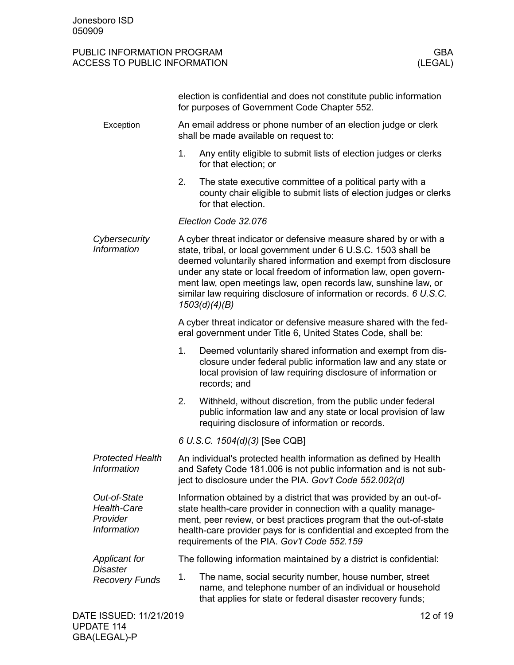|                                                               | election is confidential and does not constitute public information<br>for purposes of Government Code Chapter 552.                                                                                                                                                                                                                                                                                                                       |  |  |
|---------------------------------------------------------------|-------------------------------------------------------------------------------------------------------------------------------------------------------------------------------------------------------------------------------------------------------------------------------------------------------------------------------------------------------------------------------------------------------------------------------------------|--|--|
| Exception                                                     | An email address or phone number of an election judge or clerk<br>shall be made available on request to:                                                                                                                                                                                                                                                                                                                                  |  |  |
|                                                               | 1.<br>Any entity eligible to submit lists of election judges or clerks<br>for that election; or                                                                                                                                                                                                                                                                                                                                           |  |  |
|                                                               | 2.<br>The state executive committee of a political party with a<br>county chair eligible to submit lists of election judges or clerks<br>for that election.                                                                                                                                                                                                                                                                               |  |  |
|                                                               | Election Code 32.076                                                                                                                                                                                                                                                                                                                                                                                                                      |  |  |
| Cybersecurity<br><b>Information</b>                           | A cyber threat indicator or defensive measure shared by or with a<br>state, tribal, or local government under 6 U.S.C. 1503 shall be<br>deemed voluntarily shared information and exempt from disclosure<br>under any state or local freedom of information law, open govern-<br>ment law, open meetings law, open records law, sunshine law, or<br>similar law requiring disclosure of information or records. 6 U.S.C.<br>1503(d)(4)(B) |  |  |
|                                                               | A cyber threat indicator or defensive measure shared with the fed-<br>eral government under Title 6, United States Code, shall be:                                                                                                                                                                                                                                                                                                        |  |  |
|                                                               | Deemed voluntarily shared information and exempt from dis-<br>1.<br>closure under federal public information law and any state or<br>local provision of law requiring disclosure of information or<br>records; and                                                                                                                                                                                                                        |  |  |
|                                                               | 2.<br>Withheld, without discretion, from the public under federal<br>public information law and any state or local provision of law<br>requiring disclosure of information or records.                                                                                                                                                                                                                                                    |  |  |
|                                                               | 6 U.S.C. 1504(d)(3) [See CQB]                                                                                                                                                                                                                                                                                                                                                                                                             |  |  |
| <b>Protected Health</b><br>Information                        | An individual's protected health information as defined by Health<br>and Safety Code 181.006 is not public information and is not sub-<br>ject to disclosure under the PIA. Gov't Code 552.002(d)                                                                                                                                                                                                                                         |  |  |
| Out-of-State<br><b>Health-Care</b><br>Provider<br>Information | Information obtained by a district that was provided by an out-of-<br>state health-care provider in connection with a quality manage-<br>ment, peer review, or best practices program that the out-of-state<br>health-care provider pays for is confidential and excepted from the<br>requirements of the PIA. Gov't Code 552.159                                                                                                         |  |  |
| <b>Applicant for</b>                                          | The following information maintained by a district is confidential:                                                                                                                                                                                                                                                                                                                                                                       |  |  |
| <b>Disaster</b><br><b>Recovery Funds</b>                      | The name, social security number, house number, street<br>1.<br>name, and telephone number of an individual or household<br>that applies for state or federal disaster recovery funds;                                                                                                                                                                                                                                                    |  |  |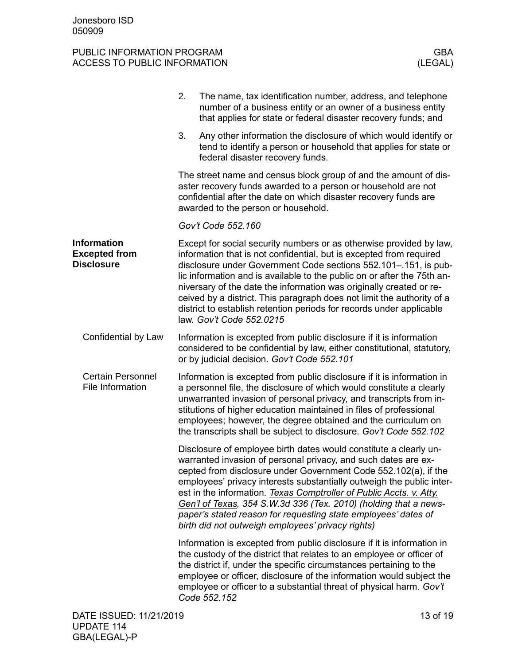<span id="page-12-2"></span><span id="page-12-1"></span><span id="page-12-0"></span>

|                                                                 | 2.                                                                                                                                                                                                                                           | The name, tax identification number, address, and telephone<br>number of a business entity or an owner of a business entity<br>that applies for state or federal disaster recovery funds; and                                                                                                                                                                                                                                                                                                                                                     |  |  |
|-----------------------------------------------------------------|----------------------------------------------------------------------------------------------------------------------------------------------------------------------------------------------------------------------------------------------|---------------------------------------------------------------------------------------------------------------------------------------------------------------------------------------------------------------------------------------------------------------------------------------------------------------------------------------------------------------------------------------------------------------------------------------------------------------------------------------------------------------------------------------------------|--|--|
|                                                                 | 3.                                                                                                                                                                                                                                           | Any other information the disclosure of which would identify or<br>tend to identify a person or household that applies for state or<br>federal disaster recovery funds.                                                                                                                                                                                                                                                                                                                                                                           |  |  |
|                                                                 | The street name and census block group of and the amount of dis-<br>aster recovery funds awarded to a person or household are not<br>confidential after the date on which disaster recovery funds are<br>awarded to the person or household. |                                                                                                                                                                                                                                                                                                                                                                                                                                                                                                                                                   |  |  |
|                                                                 |                                                                                                                                                                                                                                              | Gov't Code 552.160                                                                                                                                                                                                                                                                                                                                                                                                                                                                                                                                |  |  |
| <b>Information</b><br><b>Excepted from</b><br><b>Disclosure</b> |                                                                                                                                                                                                                                              | Except for social security numbers or as otherwise provided by law,<br>information that is not confidential, but is excepted from required<br>disclosure under Government Code sections 552.101-.151, is pub-<br>lic information and is available to the public on or after the 75th an-<br>niversary of the date the information was originally created or re-<br>ceived by a district. This paragraph does not limit the authority of a<br>district to establish retention periods for records under applicable<br>law. Gov't Code 552.0215     |  |  |
| Confidential by Law                                             |                                                                                                                                                                                                                                              | Information is excepted from public disclosure if it is information<br>considered to be confidential by law, either constitutional, statutory,<br>or by judicial decision. Gov't Code 552.101                                                                                                                                                                                                                                                                                                                                                     |  |  |
| <b>Certain Personnel</b><br>File Information                    |                                                                                                                                                                                                                                              | Information is excepted from public disclosure if it is information in<br>a personnel file, the disclosure of which would constitute a clearly<br>unwarranted invasion of personal privacy, and transcripts from in-<br>stitutions of higher education maintained in files of professional<br>employees; however, the degree obtained and the curriculum on<br>the transcripts shall be subject to disclosure. Gov't Code 552.102                                                                                                                 |  |  |
|                                                                 |                                                                                                                                                                                                                                              | Disclosure of employee birth dates would constitute a clearly un-<br>warranted invasion of personal privacy, and such dates are ex-<br>cepted from disclosure under Government Code 552.102(a), if the<br>employees' privacy interests substantially outweigh the public inter-<br>est in the information. Texas Comptroller of Public Accts. v. Atty.<br>Gen'l of Texas, 354 S.W.3d 336 (Tex. 2010) (holding that a news-<br>paper's stated reason for requesting state employees' dates of<br>birth did not outweigh employees' privacy rights) |  |  |
|                                                                 |                                                                                                                                                                                                                                              | Information is excepted from public disclosure if it is information in<br>the custody of the district that relates to an employee or officer of<br>the district if, under the specific circumstances pertaining to the<br>employee or officer, disclosure of the information would subject the<br>employee or officer to a substantial threat of physical harm. Gov't<br>Code 552.152                                                                                                                                                             |  |  |
| DATE ISSUED: 11/21/2019                                         |                                                                                                                                                                                                                                              | 13 of 19                                                                                                                                                                                                                                                                                                                                                                                                                                                                                                                                          |  |  |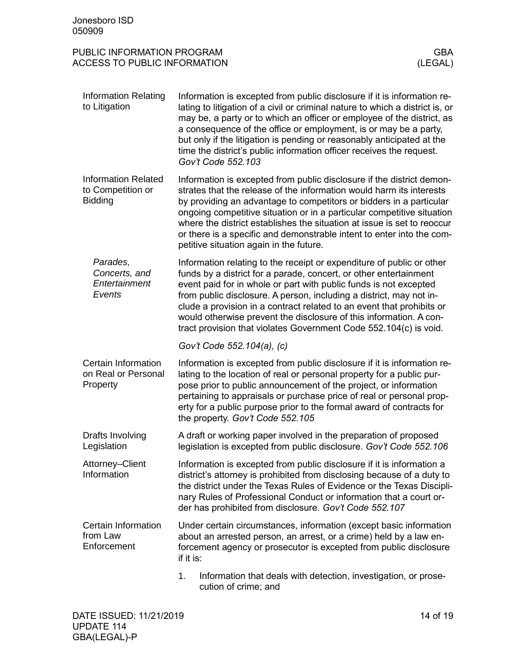<span id="page-13-1"></span><span id="page-13-0"></span>

| Jonesboro ISD<br>050909                                                                    |                                                                                                                                                                                                                                                                                                                                                                                                                                                                                                            |  |
|--------------------------------------------------------------------------------------------|------------------------------------------------------------------------------------------------------------------------------------------------------------------------------------------------------------------------------------------------------------------------------------------------------------------------------------------------------------------------------------------------------------------------------------------------------------------------------------------------------------|--|
| PUBLIC INFORMATION PROGRAM<br><b>GBA</b><br><b>ACCESS TO PUBLIC INFORMATION</b><br>(LEGAL) |                                                                                                                                                                                                                                                                                                                                                                                                                                                                                                            |  |
| <b>Information Relating</b><br>to Litigation                                               | Information is excepted from public disclosure if it is information re-<br>lating to litigation of a civil or criminal nature to which a district is, or<br>may be, a party or to which an officer or employee of the district, as<br>a consequence of the office or employment, is or may be a party,<br>but only if the litigation is pending or reasonably anticipated at the<br>time the district's public information officer receives the request.<br>Gov't Code 552.103                             |  |
| <b>Information Related</b><br>to Competition or<br><b>Bidding</b>                          | Information is excepted from public disclosure if the district demon-<br>strates that the release of the information would harm its interests<br>by providing an advantage to competitors or bidders in a particular<br>ongoing competitive situation or in a particular competitive situation<br>where the district establishes the situation at issue is set to reoccur<br>or there is a specific and demonstrable intent to enter into the com-<br>petitive situation again in the future.              |  |
| Parades,<br>Concerts, and<br>Entertainment<br>Events                                       | Information relating to the receipt or expenditure of public or other<br>funds by a district for a parade, concert, or other entertainment<br>event paid for in whole or part with public funds is not excepted<br>from public disclosure. A person, including a district, may not in-<br>clude a provision in a contract related to an event that prohibits or<br>would otherwise prevent the disclosure of this information. A con-<br>tract provision that violates Government Code 552.104(c) is void. |  |
|                                                                                            | Gov't Code 552.104(a), (c)                                                                                                                                                                                                                                                                                                                                                                                                                                                                                 |  |
| Certain Information<br>on Real or Personal<br>Property                                     | Information is excepted from public disclosure if it is information re-<br>lating to the location of real or personal property for a public pur-<br>pose prior to public announcement of the project, or information<br>pertaining to appraisals or purchase price of real or personal prop-<br>erty for a public purpose prior to the formal award of contracts for<br>the property. Gov't Code 552.105                                                                                                   |  |
| Drafts Involving<br>Legislation                                                            | A draft or working paper involved in the preparation of proposed<br>legislation is excepted from public disclosure. Gov't Code 552.106                                                                                                                                                                                                                                                                                                                                                                     |  |
| Attorney-Client<br>Information                                                             | Information is excepted from public disclosure if it is information a<br>district's attorney is prohibited from disclosing because of a duty to<br>the district under the Texas Rules of Evidence or the Texas Discipli-<br>nary Rules of Professional Conduct or information that a court or-<br>der has prohibited from disclosure. Gov't Code 552.107                                                                                                                                                   |  |
| Certain Information<br>from Law<br>Enforcement                                             | Under certain circumstances, information (except basic information<br>about an arrested person, an arrest, or a crime) held by a law en-<br>forcement agency or prosecutor is excepted from public disclosure<br>if it is:                                                                                                                                                                                                                                                                                 |  |
|                                                                                            | Information that deals with detection, investigation, or prose-                                                                                                                                                                                                                                                                                                                                                                                                                                            |  |

<span id="page-13-5"></span><span id="page-13-4"></span><span id="page-13-3"></span><span id="page-13-2"></span>on, investigation, or pi cution of crime; and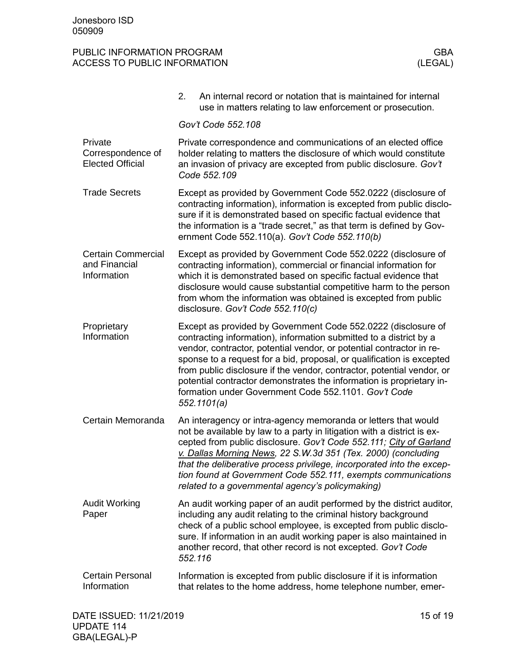<span id="page-14-6"></span><span id="page-14-5"></span><span id="page-14-4"></span><span id="page-14-3"></span><span id="page-14-2"></span><span id="page-14-1"></span><span id="page-14-0"></span>

|                                                           | 2.<br>An internal record or notation that is maintained for internal<br>use in matters relating to law enforcement or prosecution.                                                                                                                                                                                                                                                                                                                                                                            |  |
|-----------------------------------------------------------|---------------------------------------------------------------------------------------------------------------------------------------------------------------------------------------------------------------------------------------------------------------------------------------------------------------------------------------------------------------------------------------------------------------------------------------------------------------------------------------------------------------|--|
|                                                           | Gov't Code 552.108                                                                                                                                                                                                                                                                                                                                                                                                                                                                                            |  |
| Private<br>Correspondence of<br><b>Elected Official</b>   | Private correspondence and communications of an elected office<br>holder relating to matters the disclosure of which would constitute<br>an invasion of privacy are excepted from public disclosure. Gov't<br>Code 552.109                                                                                                                                                                                                                                                                                    |  |
| <b>Trade Secrets</b>                                      | Except as provided by Government Code 552.0222 (disclosure of<br>contracting information), information is excepted from public disclo-<br>sure if it is demonstrated based on specific factual evidence that<br>the information is a "trade secret," as that term is defined by Gov-<br>ernment Code 552.110(a). Gov't Code 552.110(b)                                                                                                                                                                        |  |
| <b>Certain Commercial</b><br>and Financial<br>Information | Except as provided by Government Code 552.0222 (disclosure of<br>contracting information), commercial or financial information for<br>which it is demonstrated based on specific factual evidence that<br>disclosure would cause substantial competitive harm to the person<br>from whom the information was obtained is excepted from public<br>disclosure. Gov't Code 552.110(c)                                                                                                                            |  |
| Proprietary<br>Information                                | Except as provided by Government Code 552.0222 (disclosure of<br>contracting information), information submitted to a district by a<br>vendor, contractor, potential vendor, or potential contractor in re-<br>sponse to a request for a bid, proposal, or qualification is excepted<br>from public disclosure if the vendor, contractor, potential vendor, or<br>potential contractor demonstrates the information is proprietary in-<br>formation under Government Code 552.1101. Gov't Code<br>552.1101(a) |  |
| Certain Memoranda                                         | An interagency or intra-agency memoranda or letters that would<br>not be available by law to a party in litigation with a district is ex-<br>cepted from public disclosure. Gov't Code 552.111; City of Garland<br>v. Dallas Morning News, 22 S.W.3d 351 (Tex. 2000) (concluding<br>that the deliberative process privilege, incorporated into the excep-<br>tion found at Government Code 552.111, exempts communications<br>related to a governmental agency's policymaking)                                |  |
| <b>Audit Working</b><br>Paper                             | An audit working paper of an audit performed by the district auditor,<br>including any audit relating to the criminal history background<br>check of a public school employee, is excepted from public disclo-<br>sure. If information in an audit working paper is also maintained in<br>another record, that other record is not excepted. Gov't Code<br>552.116                                                                                                                                            |  |
| <b>Certain Personal</b><br>Information                    | Information is excepted from public disclosure if it is information<br>that relates to the home address, home telephone number, emer-                                                                                                                                                                                                                                                                                                                                                                         |  |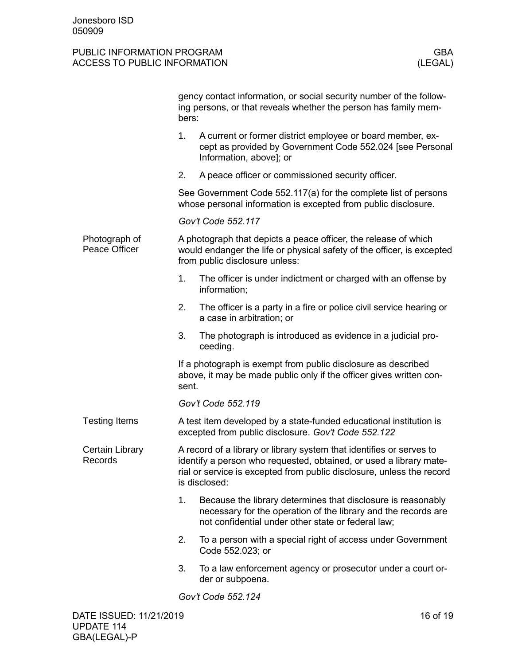<span id="page-15-2"></span><span id="page-15-1"></span><span id="page-15-0"></span>

|                                | gency contact information, or social security number of the follow-<br>ing persons, or that reveals whether the person has family mem-<br>bers:                                                                                      |  |
|--------------------------------|--------------------------------------------------------------------------------------------------------------------------------------------------------------------------------------------------------------------------------------|--|
|                                | 1.<br>A current or former district employee or board member, ex-<br>cept as provided by Government Code 552.024 [see Personal<br>Information, above]; or                                                                             |  |
|                                | A peace officer or commissioned security officer.<br>2.                                                                                                                                                                              |  |
|                                | See Government Code 552.117(a) for the complete list of persons<br>whose personal information is excepted from public disclosure.                                                                                                    |  |
|                                | Gov't Code 552.117                                                                                                                                                                                                                   |  |
| Photograph of<br>Peace Officer | A photograph that depicts a peace officer, the release of which<br>would endanger the life or physical safety of the officer, is excepted<br>from public disclosure unless:                                                          |  |
|                                | 1.<br>The officer is under indictment or charged with an offense by<br>information;                                                                                                                                                  |  |
|                                | 2.<br>The officer is a party in a fire or police civil service hearing or<br>a case in arbitration; or                                                                                                                               |  |
|                                | 3.<br>The photograph is introduced as evidence in a judicial pro-<br>ceeding.                                                                                                                                                        |  |
|                                | If a photograph is exempt from public disclosure as described<br>above, it may be made public only if the officer gives written con-<br>sent.                                                                                        |  |
|                                | Gov't Code 552.119                                                                                                                                                                                                                   |  |
| <b>Testing Items</b>           | A test item developed by a state-funded educational institution is<br>excepted from public disclosure. Gov't Code 552.122                                                                                                            |  |
| Certain Library<br>Records     | A record of a library or library system that identifies or serves to<br>identify a person who requested, obtained, or used a library mate-<br>rial or service is excepted from public disclosure, unless the record<br>is disclosed: |  |
|                                | 1.<br>Because the library determines that disclosure is reasonably<br>necessary for the operation of the library and the records are<br>not confidential under other state or federal law;                                           |  |
|                                | 2.<br>To a person with a special right of access under Government<br>Code 552.023; or                                                                                                                                                |  |
|                                | To a law enforcement agency or prosecutor under a court or-<br>3.<br>der or subpoena.                                                                                                                                                |  |
|                                | Gov't Code 552.124                                                                                                                                                                                                                   |  |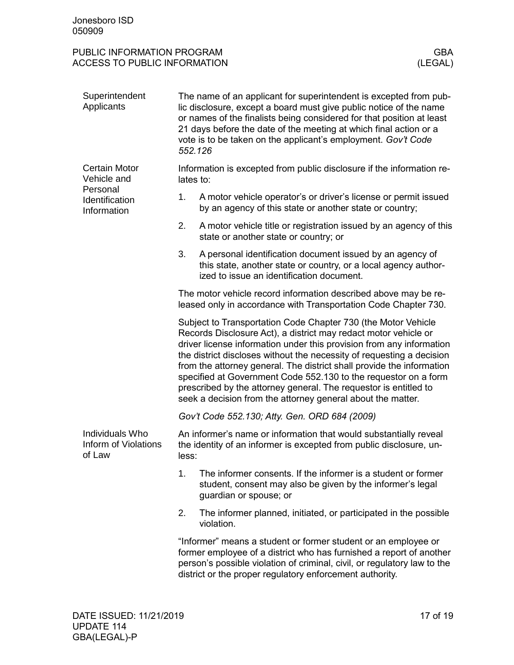<span id="page-16-2"></span><span id="page-16-1"></span><span id="page-16-0"></span>

| Superintendent<br>Applicants                                                     | The name of an applicant for superintendent is excepted from pub-<br>lic disclosure, except a board must give public notice of the name<br>or names of the finalists being considered for that position at least<br>21 days before the date of the meeting at which final action or a<br>vote is to be taken on the applicant's employment. Gov't Code<br>552.126                                                                                                                                                                                                |                                                                                                                                                                                                                                                                               |  |
|----------------------------------------------------------------------------------|------------------------------------------------------------------------------------------------------------------------------------------------------------------------------------------------------------------------------------------------------------------------------------------------------------------------------------------------------------------------------------------------------------------------------------------------------------------------------------------------------------------------------------------------------------------|-------------------------------------------------------------------------------------------------------------------------------------------------------------------------------------------------------------------------------------------------------------------------------|--|
| <b>Certain Motor</b><br>Vehicle and<br>Personal<br>Identification<br>Information | Information is excepted from public disclosure if the information re-<br>lates to:                                                                                                                                                                                                                                                                                                                                                                                                                                                                               |                                                                                                                                                                                                                                                                               |  |
|                                                                                  | 1.                                                                                                                                                                                                                                                                                                                                                                                                                                                                                                                                                               | A motor vehicle operator's or driver's license or permit issued<br>by an agency of this state or another state or country;                                                                                                                                                    |  |
|                                                                                  | 2.                                                                                                                                                                                                                                                                                                                                                                                                                                                                                                                                                               | A motor vehicle title or registration issued by an agency of this<br>state or another state or country; or                                                                                                                                                                    |  |
|                                                                                  | 3.                                                                                                                                                                                                                                                                                                                                                                                                                                                                                                                                                               | A personal identification document issued by an agency of<br>this state, another state or country, or a local agency author-<br>ized to issue an identification document.                                                                                                     |  |
|                                                                                  | The motor vehicle record information described above may be re-<br>leased only in accordance with Transportation Code Chapter 730.                                                                                                                                                                                                                                                                                                                                                                                                                               |                                                                                                                                                                                                                                                                               |  |
|                                                                                  | Subject to Transportation Code Chapter 730 (the Motor Vehicle<br>Records Disclosure Act), a district may redact motor vehicle or<br>driver license information under this provision from any information<br>the district discloses without the necessity of requesting a decision<br>from the attorney general. The district shall provide the information<br>specified at Government Code 552.130 to the requestor on a form<br>prescribed by the attorney general. The requestor is entitled to<br>seek a decision from the attorney general about the matter. |                                                                                                                                                                                                                                                                               |  |
|                                                                                  |                                                                                                                                                                                                                                                                                                                                                                                                                                                                                                                                                                  | Gov't Code 552.130; Atty. Gen. ORD 684 (2009)                                                                                                                                                                                                                                 |  |
| Individuals Who<br>Inform of Violations<br>of Law                                | An informer's name or information that would substantially reveal<br>the identity of an informer is excepted from public disclosure, un-<br>less:                                                                                                                                                                                                                                                                                                                                                                                                                |                                                                                                                                                                                                                                                                               |  |
|                                                                                  | 1.                                                                                                                                                                                                                                                                                                                                                                                                                                                                                                                                                               | The informer consents. If the informer is a student or former<br>student, consent may also be given by the informer's legal<br>guardian or spouse; or                                                                                                                         |  |
|                                                                                  | 2.                                                                                                                                                                                                                                                                                                                                                                                                                                                                                                                                                               | The informer planned, initiated, or participated in the possible<br>violation.                                                                                                                                                                                                |  |
|                                                                                  |                                                                                                                                                                                                                                                                                                                                                                                                                                                                                                                                                                  | "Informer" means a student or former student or an employee or<br>former employee of a district who has furnished a report of another<br>person's possible violation of criminal, civil, or regulatory law to the<br>district or the proper regulatory enforcement authority. |  |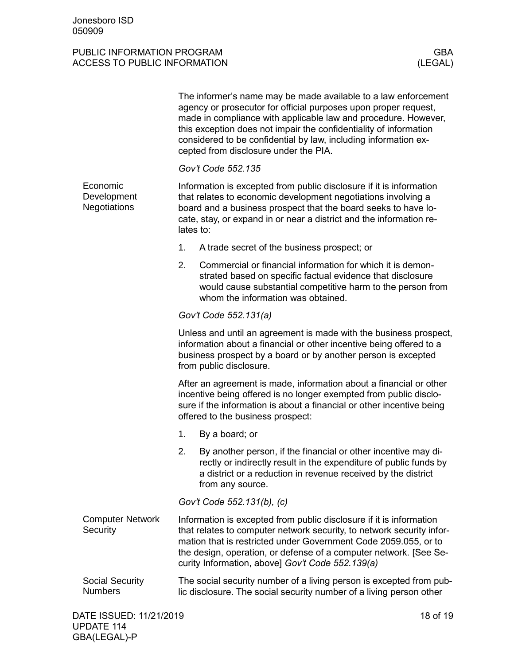<span id="page-17-2"></span><span id="page-17-1"></span><span id="page-17-0"></span>

|                                                |                                                                                                                                                                                                                                                                                                                                          | The informer's name may be made available to a law enforcement<br>agency or prosecutor for official purposes upon proper request,<br>made in compliance with applicable law and procedure. However,<br>this exception does not impair the confidentiality of information<br>considered to be confidential by law, including information ex-<br>cepted from disclosure under the PIA. |  |
|------------------------------------------------|------------------------------------------------------------------------------------------------------------------------------------------------------------------------------------------------------------------------------------------------------------------------------------------------------------------------------------------|--------------------------------------------------------------------------------------------------------------------------------------------------------------------------------------------------------------------------------------------------------------------------------------------------------------------------------------------------------------------------------------|--|
|                                                |                                                                                                                                                                                                                                                                                                                                          | Gov't Code 552.135                                                                                                                                                                                                                                                                                                                                                                   |  |
| Economic<br>Development<br><b>Negotiations</b> | lates to:                                                                                                                                                                                                                                                                                                                                | Information is excepted from public disclosure if it is information<br>that relates to economic development negotiations involving a<br>board and a business prospect that the board seeks to have lo-<br>cate, stay, or expand in or near a district and the information re-                                                                                                        |  |
|                                                | 1.                                                                                                                                                                                                                                                                                                                                       | A trade secret of the business prospect; or                                                                                                                                                                                                                                                                                                                                          |  |
|                                                | 2.                                                                                                                                                                                                                                                                                                                                       | Commercial or financial information for which it is demon-<br>strated based on specific factual evidence that disclosure<br>would cause substantial competitive harm to the person from<br>whom the information was obtained.                                                                                                                                                        |  |
|                                                | Gov't Code 552.131(a)                                                                                                                                                                                                                                                                                                                    |                                                                                                                                                                                                                                                                                                                                                                                      |  |
|                                                | Unless and until an agreement is made with the business prospect,<br>information about a financial or other incentive being offered to a<br>business prospect by a board or by another person is excepted<br>from public disclosure.                                                                                                     |                                                                                                                                                                                                                                                                                                                                                                                      |  |
|                                                | After an agreement is made, information about a financial or other<br>incentive being offered is no longer exempted from public disclo-<br>sure if the information is about a financial or other incentive being<br>offered to the business prospect:                                                                                    |                                                                                                                                                                                                                                                                                                                                                                                      |  |
|                                                | 1.                                                                                                                                                                                                                                                                                                                                       | By a board; or                                                                                                                                                                                                                                                                                                                                                                       |  |
|                                                | 2.                                                                                                                                                                                                                                                                                                                                       | By another person, if the financial or other incentive may di-<br>rectly or indirectly result in the expenditure of public funds by<br>a district or a reduction in revenue received by the district<br>from any source.                                                                                                                                                             |  |
|                                                | Gov't Code 552.131(b), (c)                                                                                                                                                                                                                                                                                                               |                                                                                                                                                                                                                                                                                                                                                                                      |  |
| <b>Computer Network</b><br>Security            | Information is excepted from public disclosure if it is information<br>that relates to computer network security, to network security infor-<br>mation that is restricted under Government Code 2059.055, or to<br>the design, operation, or defense of a computer network. [See Se-<br>curity Information, above] Gov't Code 552.139(a) |                                                                                                                                                                                                                                                                                                                                                                                      |  |
| <b>Social Security</b><br><b>Numbers</b>       | The social security number of a living person is excepted from pub-<br>lic disclosure. The social security number of a living person other                                                                                                                                                                                               |                                                                                                                                                                                                                                                                                                                                                                                      |  |